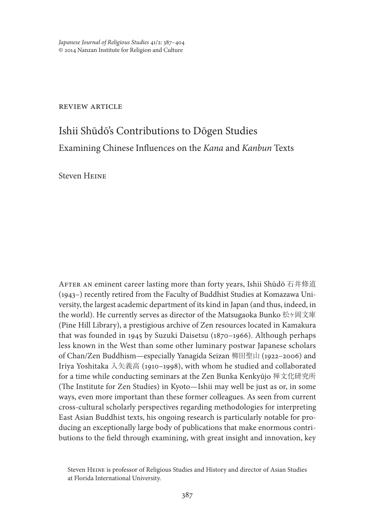*Japanese Journal of Religious Studies* 41/2: 387–404 © 2014 Nanzan Institute for Religion and Culture

review article

# Ishii Shūdō's Contributions to Dōgen Studies Examining Chinese Influences on the *Kana* and *Kanbun* Texts

Steven Heine

AFTER AN eminent career lasting more than forty years, Ishii Shūdō 石井修道 (1943–) recently retired from the Faculty of Buddhist Studies at Komazawa University, the largest academic department of its kind in Japan (and thus, indeed, in the world). He currently serves as director of the Matsugaoka Bunko 松ヶ岡文庫 (Pine Hill Library), a prestigious archive of Zen resources located in Kamakura that was founded in 1945 by Suzuki Daisetsu (1870–1966). Although perhaps less known in the West than some other luminary postwar Japanese scholars of Chan/Zen Buddhism—especially Yanagida Seizan 柳田聖山 (1922–2006) and Iriya Yoshitaka 入矢義高 (1910–1998), with whom he studied and collaborated for a time while conducting seminars at the Zen Bunka Kenkyūjo 禅文化研究所 (The Institute for Zen Studies) in Kyoto—Ishii may well be just as or, in some ways, even more important than these former colleagues. As seen from current cross-cultural scholarly perspectives regarding methodologies for interpreting East Asian Buddhist texts, his ongoing research is particularly notable for producing an exceptionally large body of publications that make enormous contributions to the field through examining, with great insight and innovation, key

Steven Heine is professor of Religious Studies and History and director of Asian Studies at Florida International University.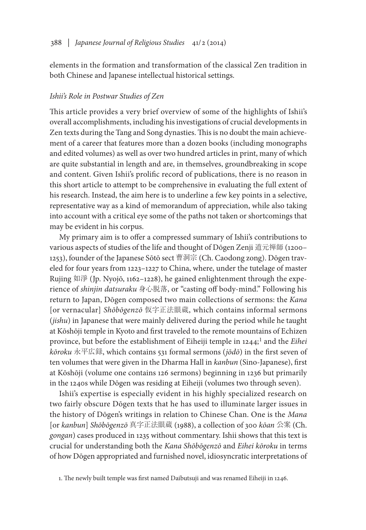elements in the formation and transformation of the classical Zen tradition in both Chinese and Japanese intellectual historical settings.

## *Ishii's Role in Postwar Studies of Zen*

This article provides a very brief overview of some of the highlights of Ishii's overall accomplishments, including his investigations of crucial developments in Zen texts during the Tang and Song dynasties. This is no doubt the main achievement of a career that features more than a dozen books (including monographs and edited volumes) as well as over two hundred articles in print, many of which are quite substantial in length and are, in themselves, groundbreaking in scope and content. Given Ishii's prolific record of publications, there is no reason in this short article to attempt to be comprehensive in evaluating the full extent of his research. Instead, the aim here is to underline a few key points in a selective, representative way as a kind of memorandum of appreciation, while also taking into account with a critical eye some of the paths not taken or shortcomings that may be evident in his corpus.

My primary aim is to offer a compressed summary of Ishii's contributions to various aspects of studies of the life and thought of Dōgen Zenji 道元禅師 (1200– 1253), founder of the Japanese Sōtō sect 曹洞宗 (Ch. Caodong zong). Dōgen traveled for four years from 1223–1227 to China, where, under the tutelage of master Rujing 如淨 (Jp. Nyojō, 1162–1228), he gained enlightenment through the experience of *shinjin datsuraku* 身心脱落, or "casting off body-mind." Following his return to Japan, Dōgen composed two main collections of sermons: the *Kana*  [or vernacular] *Shōbōgenzō* 仮字正法眼蔵, which contains informal sermons (*jishu*) in Japanese that were mainly delivered during the period while he taught at Kōshōji temple in Kyoto and first traveled to the remote mountains of Echizen province, but before the establishment of Eiheiji temple in 1244;<sup>1</sup> and the *Eihei kōroku* 永平広録, which contains 531 formal sermons (*jōdō*) in the first seven of ten volumes that were given in the Dharma Hall in *kanbun* (Sino-Japanese), first at Kōshōji (volume one contains 126 sermons) beginning in 1236 but primarily in the 1240s while Dōgen was residing at Eiheiji (volumes two through seven).

Ishii's expertise is especially evident in his highly specialized research on two fairly obscure Dōgen texts that he has used to illuminate larger issues in the history of Dōgen's writings in relation to Chinese Chan. One is the *Mana*  [or *kanbun*] *Shōbōgenzō* 真字正法眼蔵 (1988), a collection of 300 *kōan* 公案 (Ch. *gongan*) cases produced in 1235 without commentary. Ishii shows that this text is crucial for understanding both the *Kana Shōbōgenzō* and *Eihei kōroku* in terms of how Dōgen appropriated and furnished novel, idiosyncratic interpretations of

<sup>1.</sup> The newly built temple was first named Daibutsuji and was renamed Eiheiji in 1246.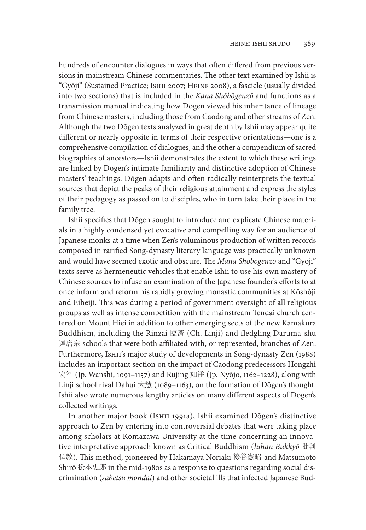hundreds of encounter dialogues in ways that often differed from previous versions in mainstream Chinese commentaries. The other text examined by Ishii is "Gyōji" (Sustained Practice; Ishii 2007; Heine 2008), a fascicle (usually divided into two sections) that is included in the *Kana Shōbōgenzō* and functions as a transmission manual indicating how Dōgen viewed his inheritance of lineage from Chinese masters, including those from Caodong and other streams of Zen. Although the two Dōgen texts analyzed in great depth by Ishii may appear quite different or nearly opposite in terms of their respective orientations—one is a comprehensive compilation of dialogues, and the other a compendium of sacred biographies of ancestors—Ishii demonstrates the extent to which these writings are linked by Dōgen's intimate familiarity and distinctive adoption of Chinese masters' teachings. Dōgen adapts and often radically reinterprets the textual sources that depict the peaks of their religious attainment and express the styles of their pedagogy as passed on to disciples, who in turn take their place in the family tree.

Ishii specifies that Dōgen sought to introduce and explicate Chinese materials in a highly condensed yet evocative and compelling way for an audience of Japanese monks at a time when Zen's voluminous production of written records composed in rarified Song-dynasty literary language was practically unknown and would have seemed exotic and obscure. The *Mana Shōbōgenzō* and "Gyōji" texts serve as hermeneutic vehicles that enable Ishii to use his own mastery of Chinese sources to infuse an examination of the Japanese founder's efforts to at once inform and reform his rapidly growing monastic communities at Kōshōji and Eiheiji. This was during a period of government oversight of all religious groups as well as intense competition with the mainstream Tendai church centered on Mount Hiei in addition to other emerging sects of the new Kamakura Buddhism, including the Rinzai 臨濟 (Ch. Linji) and fledgling Daruma-shū 達磨宗 schools that were both affiliated with, or represented, branches of Zen. Furthermore, Ishii's major study of developments in Song-dynasty Zen (1988) includes an important section on the impact of Caodong predecessors Hongzhi 宏智 (Jp. Wanshi, 1091–1157) and Rujing 如淨 (Jp. Nyōjo, 1162–1228), along with Linji school rival Dahui 大慧 (1089–1163), on the formation of Dōgen's thought. Ishii also wrote numerous lengthy articles on many different aspects of Dōgen's collected writings.

In another major book (Ishii 1991a), Ishii examined Dōgen's distinctive approach to Zen by entering into controversial debates that were taking place among scholars at Komazawa University at the time concerning an innovative interpretative approach known as Critical Buddhism (*hihan Bukkyō* 批判 仏教). This method, pioneered by Hakamaya Noriaki 袴谷憲昭 and Matsumoto Shirō 松本史郞 in the mid-1980s as a response to questions regarding social discrimination (*sabetsu mondai*) and other societal ills that infected Japanese Bud-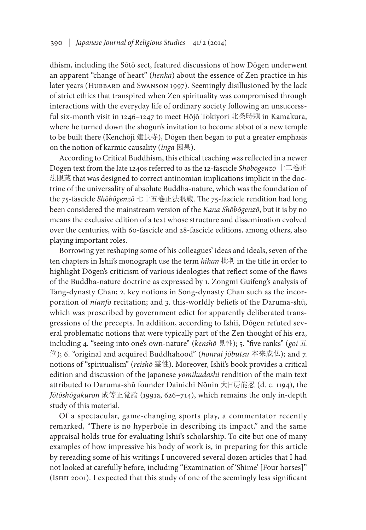dhism, including the Sōtō sect, featured discussions of how Dōgen underwent an apparent "change of heart" (*henka*) about the essence of Zen practice in his later years (HUBBARD and Swanson 1997). Seemingly disillusioned by the lack of strict ethics that transpired when Zen spirituality was compromised through interactions with the everyday life of ordinary society following an unsuccessful six-month visit in 1246–1247 to meet Hōjō Tokiyori 北条時頼 in Kamakura, where he turned down the shogun's invitation to become abbot of a new temple to be built there (Kenchōji 建長寺), Dōgen then began to put a greater emphasis on the notion of karmic causality (*inga* 因果).

According to Critical Buddhism, this ethical teaching was reflected in a newer Dōgen text from the late 1240s referred to as the 12-fascicle *Shōbōgenzō* 十二巻正 法眼蔵 that was designed to correct antinomian implications implicit in the doctrine of the universality of absolute Buddha-nature, which was the foundation of the 75-fascicle *Shōbōgenzō* 七十五巻正法眼蔵. The 75-fascicle rendition had long been considered the mainstream version of the *Kana Shōbōgenzō*, but it is by no means the exclusive edition of a text whose structure and dissemination evolved over the centuries, with 60-fascicle and 28-fascicle editions, among others, also playing important roles.

Borrowing yet reshaping some of his colleagues' ideas and ideals, seven of the ten chapters in Ishii's monograph use the term *hihan* 批判 in the title in order to highlight Dōgen's criticism of various ideologies that reflect some of the flaws of the Buddha-nature doctrine as expressed by 1. Zongmi Guifeng's analysis of Tang-dynasty Chan; 2. key notions in Song-dynasty Chan such as the incorporation of *nianfo* recitation; and 3. this-worldly beliefs of the Daruma-shū, which was proscribed by government edict for apparently deliberated transgressions of the precepts. In addition, according to Ishii, Dōgen refuted several problematic notions that were typically part of the Zen thought of his era, including 4. "seeing into one's own-nature" (*kenshō* 見性); 5. "five ranks" (*goi* 五 位); 6. "original and acquired Buddhahood" (*honrai jōbutsu* 本来成仏); and 7. notions of "spiritualism" (*reishō* 霊性). Moreover, Ishii's book provides a critical edition and discussion of the Japanese *yomikudashi* rendition of the main text attributed to Daruma-shū founder Dainichi Nōnin 大日房能忍 (d. c. 1194), the *Jōtōshōgakuron* 成等正覚論 (1991a, 626–714), which remains the only in-depth study of this material.

Of a spectacular, game-changing sports play, a commentator recently remarked, "There is no hyperbole in describing its impact," and the same appraisal holds true for evaluating Ishii's scholarship. To cite but one of many examples of how impressive his body of work is, in preparing for this article by rereading some of his writings I uncovered several dozen articles that I had not looked at carefully before, including "Examination of 'Shime' [Four horses]" (Ishii 2001). I expected that this study of one of the seemingly less significant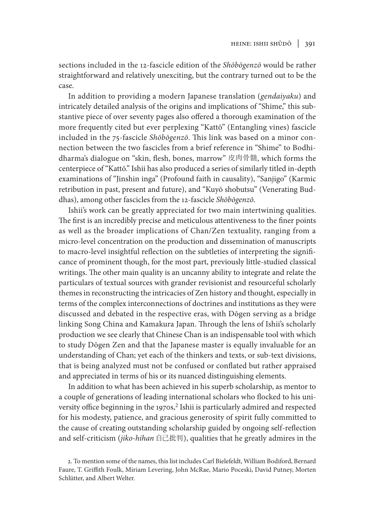sections included in the 12-fascicle edition of the *Shōbōgenzō* would be rather straightforward and relatively unexciting, but the contrary turned out to be the case.

In addition to providing a modern Japanese translation (*gendaiyaku*) and intricately detailed analysis of the origins and implications of "Shime," this substantive piece of over seventy pages also offered a thorough examination of the more frequently cited but ever perplexing "Kattō" (Entangling vines) fascicle included in the 75-fascicle *Shōbōgenzō*. This link was based on a minor connection between the two fascicles from a brief reference in "Shime" to Bodhidharma's dialogue on "skin, flesh, bones, marrow" 皮肉骨髄, which forms the centerpiece of "Kattō." Ishii has also produced a series of similarly titled in-depth examinations of "Jinshin inga" (Profound faith in causality), "Sanjigo" (Karmic retribution in past, present and future), and "Kuyō shobutsu" (Venerating Buddhas), among other fascicles from the 12-fascicle *Shōbōgenzō*.

Ishii's work can be greatly appreciated for two main intertwining qualities. The first is an incredibly precise and meticulous attentiveness to the finer points as well as the broader implications of Chan/Zen textuality, ranging from a micro-level concentration on the production and dissemination of manuscripts to macro-level insightful reflection on the subtleties of interpreting the significance of prominent though, for the most part, previously little-studied classical writings. The other main quality is an uncanny ability to integrate and relate the particulars of textual sources with grander revisionist and resourceful scholarly themes in reconstructing the intricacies of Zen history and thought, especially in terms of the complex interconnections of doctrines and institutions as they were discussed and debated in the respective eras, with Dōgen serving as a bridge linking Song China and Kamakura Japan. Through the lens of Ishii's scholarly production we see clearly that Chinese Chan is an indispensable tool with which to study Dōgen Zen and that the Japanese master is equally invaluable for an understanding of Chan; yet each of the thinkers and texts, or sub-text divisions, that is being analyzed must not be confused or conflated but rather appraised and appreciated in terms of his or its nuanced distinguishing elements.

In addition to what has been achieved in his superb scholarship, as mentor to a couple of generations of leading international scholars who flocked to his university office beginning in the 1970s, $<sup>2</sup>$  Ishii is particularly admired and respected</sup> for his modesty, patience, and gracious generosity of spirit fully committed to the cause of creating outstanding scholarship guided by ongoing self-reflection and self-criticism (*jiko-hihan* 自己批判), qualities that he greatly admires in the

<sup>2.</sup> To mention some of the names, this list includes Carl Bielefeldt, William Bodiford, Bernard Faure, T. Griffith Foulk, Miriam Levering, John McRae, Mario Poceski, David Putney, Morten Schlütter, and Albert Welter.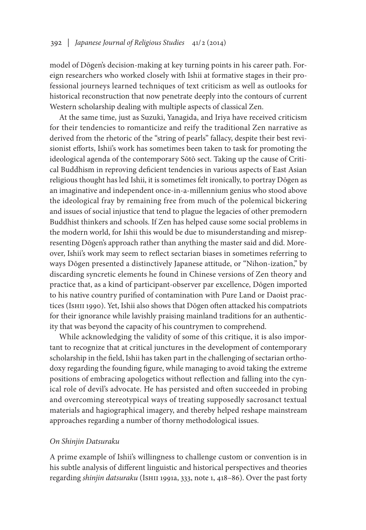model of Dōgen's decision-making at key turning points in his career path. Foreign researchers who worked closely with Ishii at formative stages in their professional journeys learned techniques of text criticism as well as outlooks for historical reconstruction that now penetrate deeply into the contours of current Western scholarship dealing with multiple aspects of classical Zen.

At the same time, just as Suzuki, Yanagida, and Iriya have received criticism for their tendencies to romanticize and reify the traditional Zen narrative as derived from the rhetoric of the "string of pearls" fallacy, despite their best revisionist efforts, Ishii's work has sometimes been taken to task for promoting the ideological agenda of the contemporary Sōtō sect. Taking up the cause of Critical Buddhism in reproving deficient tendencies in various aspects of East Asian religious thought has led Ishii, it is sometimes felt ironically, to portray Dōgen as an imaginative and independent once-in-a-millennium genius who stood above the ideological fray by remaining free from much of the polemical bickering and issues of social injustice that tend to plague the legacies of other premodern Buddhist thinkers and schools. If Zen has helped cause some social problems in the modern world, for Ishii this would be due to misunderstanding and misrepresenting Dōgen's approach rather than anything the master said and did. Moreover, Ishii's work may seem to reflect sectarian biases in sometimes referring to ways Dōgen presented a distinctively Japanese attitude, or "Nihon-ization," by discarding syncretic elements he found in Chinese versions of Zen theory and practice that, as a kind of participant-observer par excellence, Dōgen imported to his native country purified of contamination with Pure Land or Daoist practices (Ishii 1990). Yet, Ishii also shows that Dōgen often attacked his compatriots for their ignorance while lavishly praising mainland traditions for an authenticity that was beyond the capacity of his countrymen to comprehend.

While acknowledging the validity of some of this critique, it is also important to recognize that at critical junctures in the development of contemporary scholarship in the field, Ishii has taken part in the challenging of sectarian orthodoxy regarding the founding figure, while managing to avoid taking the extreme positions of embracing apologetics without reflection and falling into the cynical role of devil's advocate. He has persisted and often succeeded in probing and overcoming stereotypical ways of treating supposedly sacrosanct textual materials and hagiographical imagery, and thereby helped reshape mainstream approaches regarding a number of thorny methodological issues.

## *On Shinjin Datsuraku*

A prime example of Ishii's willingness to challenge custom or convention is in his subtle analysis of different linguistic and historical perspectives and theories regarding *shinjin datsuraku* (Ishii 1991a, 333, note 1, 418–86). Over the past forty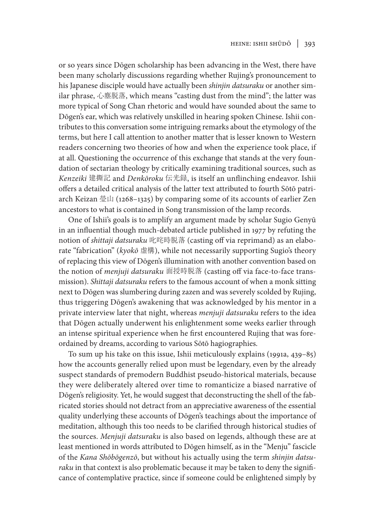or so years since Dōgen scholarship has been advancing in the West, there have been many scholarly discussions regarding whether Rujing's pronouncement to his Japanese disciple would have actually been *shinjin datsuraku* or another similar phrase, 心塵脱落, which means "casting dust from the mind"; the latter was more typical of Song Chan rhetoric and would have sounded about the same to Dōgen's ear, which was relatively unskilled in hearing spoken Chinese. Ishii contributes to this conversation some intriguing remarks about the etymology of the terms, but here I call attention to another matter that is lesser known to Western readers concerning two theories of how and when the experience took place, if at all. Questioning the occurrence of this exchange that stands at the very foundation of sectarian theology by critically examining traditional sources, such as *Kenzeiki* 建撕記 and *Denkōroku* 伝光録, is itself an unflinching endeavor. Ishii offers a detailed critical analysis of the latter text attributed to fourth Sōtō patriarch Keizan 瑩山 (1268–1325) by comparing some of its accounts of earlier Zen ancestors to what is contained in Song transmission of the lamp records.

One of Ishii's goals is to amplify an argument made by scholar Sugio Genyū in an influential though much-debated article published in 1977 by refuting the notion of *shittaji datsuraku* 叱咤時脱落 (casting off via reprimand) as an elaborate "fabrication" (*kyokō* 虚構), while not necessarily supporting Sugio's theory of replacing this view of Dōgen's illumination with another convention based on the notion of *menjuji datsuraku* 面授時脱落 (casting off via face-to-face transmission). *Shittaji datsuraku* refers to the famous account of when a monk sitting next to Dōgen was slumbering during zazen and was severely scolded by Rujing, thus triggering Dōgen's awakening that was acknowledged by his mentor in a private interview later that night, whereas *menjuji datsuraku* refers to the idea that Dōgen actually underwent his enlightenment some weeks earlier through an intense spiritual experience when he first encountered Rujing that was foreordained by dreams, according to various Sōtō hagiographies.

To sum up his take on this issue, Ishii meticulously explains (1991a, 439–85) how the accounts generally relied upon must be legendary, even by the already suspect standards of premodern Buddhist pseudo-historical materials, because they were deliberately altered over time to romanticize a biased narrative of Dōgen's religiosity. Yet, he would suggest that deconstructing the shell of the fabricated stories should not detract from an appreciative awareness of the essential quality underlying these accounts of Dōgen's teachings about the importance of meditation, although this too needs to be clarified through historical studies of the sources. *Menjuji datsuraku* is also based on legends, although these are at least mentioned in words attributed to Dōgen himself, as in the "Menju" fascicle of the *Kana Shōbōgenzō*, but without his actually using the term *shinjin datsuraku* in that context is also problematic because it may be taken to deny the significance of contemplative practice, since if someone could be enlightened simply by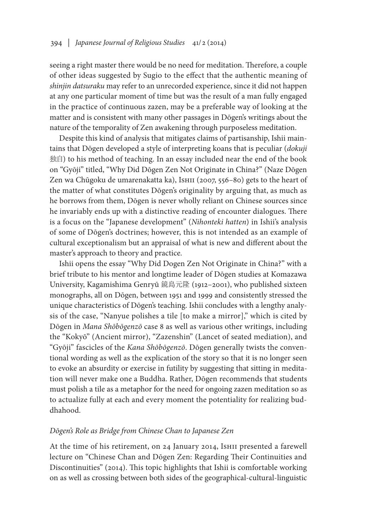seeing a right master there would be no need for meditation. Therefore, a couple of other ideas suggested by Sugio to the effect that the authentic meaning of *shinjin datsuraku* may refer to an unrecorded experience, since it did not happen at any one particular moment of time but was the result of a man fully engaged in the practice of continuous zazen, may be a preferable way of looking at the matter and is consistent with many other passages in Dōgen's writings about the nature of the temporality of Zen awakening through purposeless meditation.

Despite this kind of analysis that mitigates claims of partisanship, Ishii maintains that Dōgen developed a style of interpreting koans that is peculiar (*dokuji*  独自) to his method of teaching. In an essay included near the end of the book on "Gyōji" titled, "Why Did Dōgen Zen Not Originate in China?" (Naze Dōgen Zen wa Chūgoku de umarenakatta ka), Ishii (2007, 556–80) gets to the heart of the matter of what constitutes Dōgen's originality by arguing that, as much as he borrows from them, Dōgen is never wholly reliant on Chinese sources since he invariably ends up with a distinctive reading of encounter dialogues. There is a focus on the "Japanese development" (*Nihonteki hatten*) in Ishii's analysis of some of Dōgen's doctrines; however, this is not intended as an example of cultural exceptionalism but an appraisal of what is new and different about the master's approach to theory and practice.

Ishii opens the essay "Why Did Dogen Zen Not Originate in China?" with a brief tribute to his mentor and longtime leader of Dōgen studies at Komazawa University, Kagamishima Genryū 鏡島元隆 (1912–2001), who published sixteen monographs, all on Dōgen, between 1951 and 1999 and consistently stressed the unique characteristics of Dōgen's teaching. Ishii concludes with a lengthy analysis of the case, "Nanyue polishes a tile [to make a mirror]," which is cited by Dōgen in *Mana Shōbōgenzō* case 8 as well as various other writings, including the "Kokyō" (Ancient mirror), "Zazenshin" (Lancet of seated mediation), and "Gyōji" fascicles of the *Kana Shōbōgenzō*. Dōgen generally twists the conventional wording as well as the explication of the story so that it is no longer seen to evoke an absurdity or exercise in futility by suggesting that sitting in meditation will never make one a Buddha. Rather, Dōgen recommends that students must polish a tile as a metaphor for the need for ongoing zazen meditation so as to actualize fully at each and every moment the potentiality for realizing buddhahood.

## *Dōgen's Role as Bridge from Chinese Chan to Japanese Zen*

At the time of his retirement, on 24 January 2014, Ishii presented a farewell lecture on "Chinese Chan and Dōgen Zen: Regarding Their Continuities and Discontinuities" (2014). This topic highlights that Ishii is comfortable working on as well as crossing between both sides of the geographical-cultural-linguistic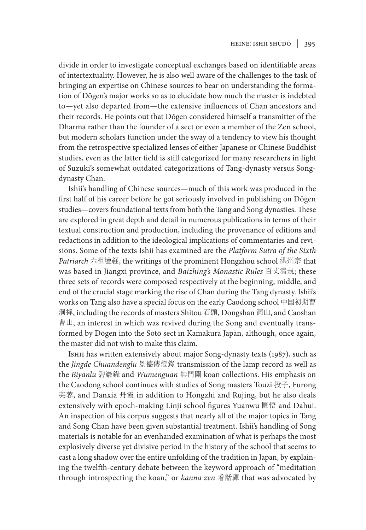divide in order to investigate conceptual exchanges based on identifiable areas of intertextuality. However, he is also well aware of the challenges to the task of bringing an expertise on Chinese sources to bear on understanding the formation of Dōgen's major works so as to elucidate how much the master is indebted to—yet also departed from—the extensive influences of Chan ancestors and their records. He points out that Dōgen considered himself a transmitter of the Dharma rather than the founder of a sect or even a member of the Zen school, but modern scholars function under the sway of a tendency to view his thought from the retrospective specialized lenses of either Japanese or Chinese Buddhist studies, even as the latter field is still categorized for many researchers in light of Suzuki's somewhat outdated categorizations of Tang-dynasty versus Songdynasty Chan.

Ishii's handling of Chinese sources—much of this work was produced in the first half of his career before he got seriously involved in publishing on Dōgen studies—covers foundational texts from both the Tang and Song dynasties. These are explored in great depth and detail in numerous publications in terms of their textual construction and production, including the provenance of editions and redactions in addition to the ideological implications of commentaries and revisions. Some of the texts Ishii has examined are the *Platform Sutra of the Sixth Patriarch* 六祖壇経, the writings of the prominent Hongzhou school 洪州宗 that was based in Jiangxi province, and *Baizhing's Monastic Rules* 百丈清規; these three sets of records were composed respectively at the beginning, middle, and end of the crucial stage marking the rise of Chan during the Tang dynasty. Ishii's works on Tang also have a special focus on the early Caodong school 中国初期曹 洞禅, including the records of masters Shitou 石頭, Dongshan 洞山, and Caoshan 曹山, an interest in which was revived during the Song and eventually transformed by Dōgen into the Sōtō sect in Kamakura Japan, although, once again, the master did not wish to make this claim.

ISHII has written extensively about major Song-dynasty texts (1987), such as the *Jingde Chuandenglu* 景德傳燈錄 transmission of the lamp record as well as the *Biyanlu* 碧巖錄 and *Wumenguan* 無門關 koan collections. His emphasis on the Caodong school continues with studies of Song masters Touzi 投子, Furong 芙蓉, and Danxia 丹霞 in addition to Hongzhi and Rujing, but he also deals extensively with epoch-making Linji school figures Yuanwu 圜悟 and Dahui. An inspection of his corpus suggests that nearly all of the major topics in Tang and Song Chan have been given substantial treatment. Ishii's handling of Song materials is notable for an evenhanded examination of what is perhaps the most explosively diverse yet divisive period in the history of the school that seems to cast a long shadow over the entire unfolding of the tradition in Japan, by explaining the twelfth-century debate between the keyword approach of "meditation through introspecting the koan," or *kanna zen* 看話禪 that was advocated by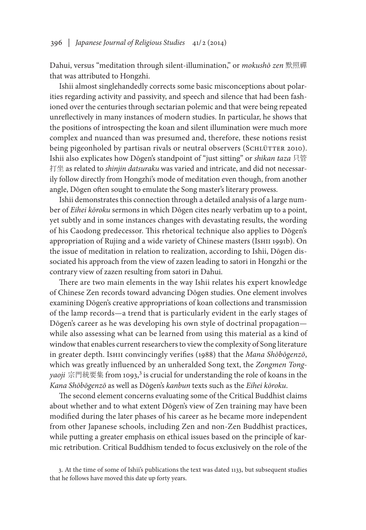Dahui, versus "meditation through silent-illumination," or *mokushō zen* 默照禪 that was attributed to Hongzhi.

Ishii almost singlehandedly corrects some basic misconceptions about polarities regarding activity and passivity, and speech and silence that had been fashioned over the centuries through sectarian polemic and that were being repeated unreflectively in many instances of modern studies. In particular, he shows that the positions of introspecting the koan and silent illumination were much more complex and nuanced than was presumed and, therefore, these notions resist being pigeonholed by partisan rivals or neutral observers (SCHLÜTTER 2010). Ishii also explicates how Dōgen's standpoint of "just sitting" or *shikan taza* 只管 打坐 as related to *shinjin datsuraku* was varied and intricate, and did not necessarily follow directly from Hongzhi's mode of meditation even though, from another angle, Dōgen often sought to emulate the Song master's literary prowess.

Ishii demonstrates this connection through a detailed analysis of a large number of *Eihei kōroku* sermons in which Dōgen cites nearly verbatim up to a point, yet subtly and in some instances changes with devastating results, the wording of his Caodong predecessor. This rhetorical technique also applies to Dōgen's appropriation of Rujing and a wide variety of Chinese masters (Ishii 1991b). On the issue of meditation in relation to realization, according to Ishii, Dōgen dissociated his approach from the view of zazen leading to satori in Hongzhi or the contrary view of zazen resulting from satori in Dahui.

There are two main elements in the way Ishii relates his expert knowledge of Chinese Zen records toward advancing Dōgen studies. One element involves examining Dōgen's creative appropriations of koan collections and transmission of the lamp records—a trend that is particularly evident in the early stages of Dōgen's career as he was developing his own style of doctrinal propagation while also assessing what can be learned from using this material as a kind of window that enables current researchers to view the complexity of Song literature in greater depth. Ishii convincingly verifies (1988) that the *Mana Shōbōgenzō*, which was greatly influenced by an unheralded Song text, the *Zongmen Tongyaoji* 宗門統要集 from 1093,3 is crucial for understanding the role of koans in the *Kana Shōbōgenzō* as well as Dōgen's *kanbun* texts such as the *Eihei kōroku*.

The second element concerns evaluating some of the Critical Buddhist claims about whether and to what extent Dōgen's view of Zen training may have been modified during the later phases of his career as he became more independent from other Japanese schools, including Zen and non-Zen Buddhist practices, while putting a greater emphasis on ethical issues based on the principle of karmic retribution. Critical Buddhism tended to focus exclusively on the role of the

<sup>3.</sup> At the time of some of Ishii's publications the text was dated 1133, but subsequent studies that he follows have moved this date up forty years.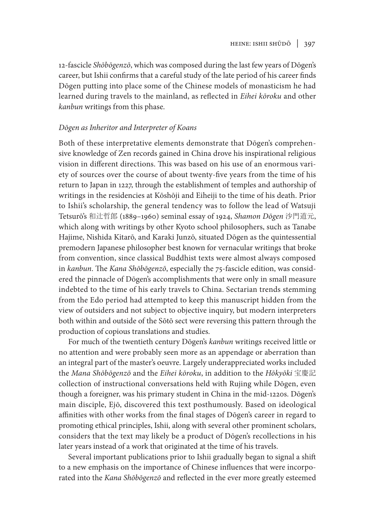12-fascicle *Shōbōgenzō*, which was composed during the last few years of Dōgen's career, but Ishii confirms that a careful study of the late period of his career finds Dōgen putting into place some of the Chinese models of monasticism he had learned during travels to the mainland, as reflected in *Eihei kōroku* and other *kanbun* writings from this phase.

## *Dōgen as Inheritor and Interpreter of Koans*

Both of these interpretative elements demonstrate that Dōgen's comprehensive knowledge of Zen records gained in China drove his inspirational religious vision in different directions. This was based on his use of an enormous variety of sources over the course of about twenty-five years from the time of his return to Japan in 1227, through the establishment of temples and authorship of writings in the residencies at Kōshōji and Eiheiji to the time of his death. Prior to Ishii's scholarship, the general tendency was to follow the lead of Watsuji Tetsurō's 和辻哲郎 (1889–1960) seminal essay of 1924, *Shamon Dōgen* 沙門道元, which along with writings by other Kyoto school philosophers, such as Tanabe Hajime, Nishida Kitarō, and Karaki Junzō, situated Dōgen as the quintessential premodern Japanese philosopher best known for vernacular writings that broke from convention, since classical Buddhist texts were almost always composed in *kanbun*. The *Kana Shōbōgenzō*, especially the 75-fascicle edition, was considered the pinnacle of Dōgen's accomplishments that were only in small measure indebted to the time of his early travels to China. Sectarian trends stemming from the Edo period had attempted to keep this manuscript hidden from the view of outsiders and not subject to objective inquiry, but modern interpreters both within and outside of the Sōtō sect were reversing this pattern through the production of copious translations and studies.

For much of the twentieth century Dōgen's *kanbun* writings received little or no attention and were probably seen more as an appendage or aberration than an integral part of the master's oeuvre. Largely underappreciated works included the *Mana Shōbōgenzō* and the *Eihei kōroku*, in addition to the *Hōkyōki* 宝慶記 collection of instructional conversations held with Rujing while Dōgen, even though a foreigner, was his primary student in China in the mid-1220s. Dōgen's main disciple, Ejō, discovered this text posthumously. Based on ideological affinities with other works from the final stages of Dōgen's career in regard to promoting ethical principles, Ishii, along with several other prominent scholars, considers that the text may likely be a product of Dōgen's recollections in his later years instead of a work that originated at the time of his travels.

Several important publications prior to Ishii gradually began to signal a shift to a new emphasis on the importance of Chinese influences that were incorporated into the *Kana Shōbōgenzō* and reflected in the ever more greatly esteemed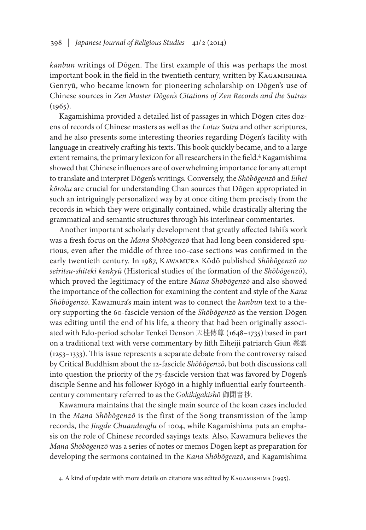*kanbun* writings of Dōgen. The first example of this was perhaps the most important book in the field in the twentieth century, written by KAGAMISHIMA Genryū, who became known for pioneering scholarship on Dōgen's use of Chinese sources in *Zen Master Dōgen's Citations of Zen Records and the Sutras*   $(1965)$ .

Kagamishima provided a detailed list of passages in which Dōgen cites dozens of records of Chinese masters as well as the *Lotus Sutra* and other scriptures, and he also presents some interesting theories regarding Dōgen's facility with language in creatively crafting his texts. This book quickly became, and to a large extent remains, the primary lexicon for all researchers in the field.<sup>4</sup> Kagamishima showed that Chinese influences are of overwhelming importance for any attempt to translate and interpret Dōgen's writings. Conversely, the *Shōbōgenzō* and *Eihei kōroku* are crucial for understanding Chan sources that Dōgen appropriated in such an intriguingly personalized way by at once citing them precisely from the records in which they were originally contained, while drastically altering the grammatical and semantic structures through his interlinear commentaries.

Another important scholarly development that greatly affected Ishii's work was a fresh focus on the *Mana Shōbōgenzō* that had long been considered spurious, even after the middle of three 100-case sections was confirmed in the early twentieth century. In 1987, Kawamura Kōdō published *Shōbōgenzō no seiritsu-shiteki kenkyū* (Historical studies of the formation of the *Shōbōgenzō*), which proved the legitimacy of the entire *Mana Shōbōgenzō* and also showed the importance of the collection for examining the content and style of the *Kana Shōbōgenzō*. Kawamura's main intent was to connect the *kanbun* text to a theory supporting the 60-fascicle version of the *Shōbōgenzō* as the version Dōgen was editing until the end of his life, a theory that had been originally associated with Edo-period scholar Tenkei Denson 天桂傳尊 (1648–1735) based in part on a traditional text with verse commentary by fifth Eiheiji patriarch Giun 義雲 (1253–1333). This issue represents a separate debate from the controversy raised by Critical Buddhism about the 12-fascicle *Shōbōgenzō*, but both discussions call into question the priority of the 75-fascicle version that was favored by Dōgen's disciple Senne and his follower Kyōgō in a highly influential early fourteenthcentury commentary referred to as the *Gokikigakishō* 御聞書抄.

Kawamura maintains that the single main source of the koan cases included in the *Mana Shōbōgenzō* is the first of the Song transmission of the lamp records, the *Jingde Chuandenglu* of 1004, while Kagamishima puts an emphasis on the role of Chinese recorded sayings texts. Also, Kawamura believes the *Mana Shōbōgenzō* was a series of notes or memos Dōgen kept as preparation for developing the sermons contained in the *Kana Shōbōgenzō*, and Kagamishima

<sup>4.</sup> A kind of update with more details on citations was edited by Kagamishima (1995).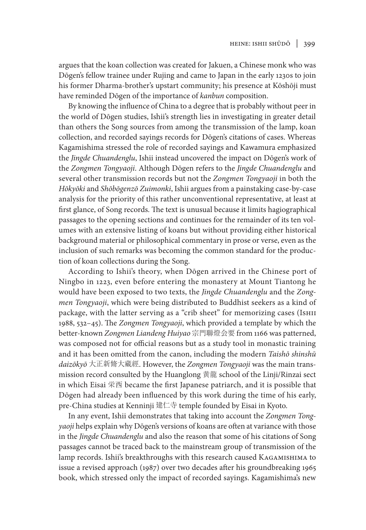argues that the koan collection was created for Jakuen, a Chinese monk who was Dōgen's fellow trainee under Rujing and came to Japan in the early 1230s to join his former Dharma-brother's upstart community; his presence at Kōshōji must have reminded Dōgen of the importance of *kanbun* composition.

By knowing the influence of China to a degree that is probably without peer in the world of Dōgen studies, Ishii's strength lies in investigating in greater detail than others the Song sources from among the transmission of the lamp, koan collection, and recorded sayings records for Dōgen's citations of cases. Whereas Kagamishima stressed the role of recorded sayings and Kawamura emphasized the *Jingde Chuandenglu*, Ishii instead uncovered the impact on Dōgen's work of the *Zongmen Tongyaoji*. Although Dōgen refers to the *Jingde Chuandenglu* and several other transmission records but not the *Zongmen Tongyaoji* in both the *Hōkyōki* and *Shōbōgenzō Zuimonki*, Ishii argues from a painstaking case-by-case analysis for the priority of this rather unconventional representative, at least at first glance, of Song records. The text is unusual because it limits hagiographical passages to the opening sections and continues for the remainder of its ten volumes with an extensive listing of koans but without providing either historical background material or philosophical commentary in prose or verse, even as the inclusion of such remarks was becoming the common standard for the production of koan collections during the Song.

According to Ishii's theory, when Dōgen arrived in the Chinese port of Ningbo in 1223, even before entering the monastery at Mount Tiantong he would have been exposed to two texts, the *Jingde Chuandenglu* and the *Zongmen Tongyaoji*, which were being distributed to Buddhist seekers as a kind of package, with the latter serving as a "crib sheet" for memorizing cases (IsHII 1988, 532–45). The *Zongmen Tongyaoji*, which provided a template by which the better-known *Zongmen Liandeng Huiyao* 宗門聯燈会要 from 1166 was patterned, was composed not for official reasons but as a study tool in monastic training and it has been omitted from the canon, including the modern *Taishō shinshū daizōkyō* 大正新脩大藏經. However, the *Zongmen Tongyaoji* was the main transmission record consulted by the Huanglong 黄龍 school of the Linji/Rinzai sect in which Eisai 栄西 became the first Japanese patriarch, and it is possible that Dōgen had already been influenced by this work during the time of his early, pre-China studies at Kenninji 建仁寺 temple founded by Eisai in Kyoto.

In any event, Ishii demonstrates that taking into account the *Zongmen Tongyaoji* helps explain why Dōgen's versions of koans are often at variance with those in the *Jingde Chuandenglu* and also the reason that some of his citations of Song passages cannot be traced back to the mainstream group of transmission of the lamp records. Ishii's breakthroughs with this research caused Kagamishima to issue a revised approach (1987) over two decades after his groundbreaking 1965 book, which stressed only the impact of recorded sayings. Kagamishima's new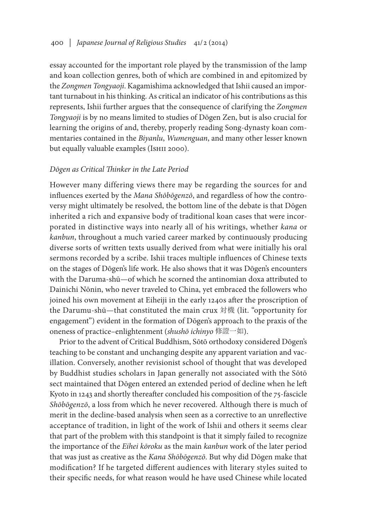## 400 *| Japanese Journal of Religious Studies* 41/2 (2014)

essay accounted for the important role played by the transmission of the lamp and koan collection genres, both of which are combined in and epitomized by the *Zongmen Tongyaoji*. Kagamishima acknowledged that Ishii caused an important turnabout in his thinking. As critical an indicator of his contributions as this represents, Ishii further argues that the consequence of clarifying the *Zongmen Tongyaoji* is by no means limited to studies of Dōgen Zen, but is also crucial for learning the origins of and, thereby, properly reading Song-dynasty koan commentaries contained in the *Biyanlu*, *Wumenguan*, and many other lesser known but equally valuable examples (Ishii 2000).

#### *Dōgen as Critical Thinker in the Late Period*

However many differing views there may be regarding the sources for and influences exerted by the *Mana Shōbōgenzō*, and regardless of how the controversy might ultimately be resolved, the bottom line of the debate is that Dōgen inherited a rich and expansive body of traditional koan cases that were incorporated in distinctive ways into nearly all of his writings, whether *kana* or *kanbun*, throughout a much varied career marked by continuously producing diverse sorts of written texts usually derived from what were initially his oral sermons recorded by a scribe. Ishii traces multiple influences of Chinese texts on the stages of Dōgen's life work. He also shows that it was Dōgen's encounters with the Daruma-shū—of which he scorned the antinomian doxa attributed to Dainichi Nōnin, who never traveled to China, yet embraced the followers who joined his own movement at Eiheiji in the early 1240s after the proscription of the Darumu-shū—that constituted the main crux 対機 (lit. "opportunity for engagement") evident in the formation of Dōgen's approach to the praxis of the oneness of practice–enlightenment (*shushō ichinyo* 修證一如).

Prior to the advent of Critical Buddhism, Sōtō orthodoxy considered Dōgen's teaching to be constant and unchanging despite any apparent variation and vacillation. Conversely, another revisionist school of thought that was developed by Buddhist studies scholars in Japan generally not associated with the Sōtō sect maintained that Dōgen entered an extended period of decline when he left Kyoto in 1243 and shortly thereafter concluded his composition of the 75-fascicle *Shōbōgenzō*, a loss from which he never recovered. Although there is much of merit in the decline-based analysis when seen as a corrective to an unreflective acceptance of tradition, in light of the work of Ishii and others it seems clear that part of the problem with this standpoint is that it simply failed to recognize the importance of the *Eihei kōroku* as the main *kanbun* work of the later period that was just as creative as the *Kana Shōbōgenzō*. But why did Dōgen make that modification? If he targeted different audiences with literary styles suited to their specific needs, for what reason would he have used Chinese while located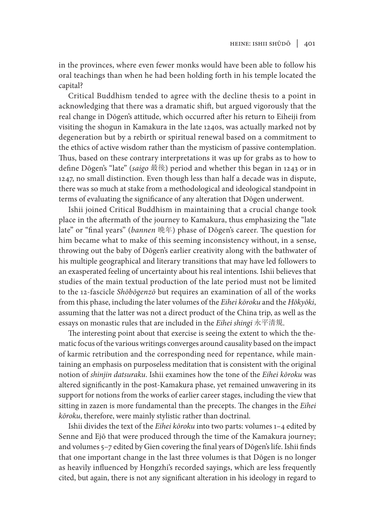in the provinces, where even fewer monks would have been able to follow his oral teachings than when he had been holding forth in his temple located the capital?

Critical Buddhism tended to agree with the decline thesis to a point in acknowledging that there was a dramatic shift, but argued vigorously that the real change in Dōgen's attitude, which occurred after his return to Eiheiji from visiting the shogun in Kamakura in the late 1240s, was actually marked not by degeneration but by a rebirth or spiritual renewal based on a commitment to the ethics of active wisdom rather than the mysticism of passive contemplation. Thus, based on these contrary interpretations it was up for grabs as to how to define Dōgen's "late" (*saigo* 最後) period and whether this began in 1243 or in 1247, no small distinction. Even though less than half a decade was in dispute, there was so much at stake from a methodological and ideological standpoint in terms of evaluating the significance of any alteration that Dōgen underwent.

Ishii joined Critical Buddhism in maintaining that a crucial change took place in the aftermath of the journey to Kamakura, thus emphasizing the "late late" or "final years" (*bannen* 晩年) phase of Dōgen's career. The question for him became what to make of this seeming inconsistency without, in a sense, throwing out the baby of Dōgen's earlier creativity along with the bathwater of his multiple geographical and literary transitions that may have led followers to an exasperated feeling of uncertainty about his real intentions. Ishii believes that studies of the main textual production of the late period must not be limited to the 12-fascicle *Shōbōgenzō* but requires an examination of all of the works from this phase, including the later volumes of the *Eihei kōroku* and the *Hōkyōki*, assuming that the latter was not a direct product of the China trip, as well as the essays on monastic rules that are included in the *Eihei shingi* 永平清規.

The interesting point about that exercise is seeing the extent to which the thematic focus of the various writings converges around causality based on the impact of karmic retribution and the corresponding need for repentance, while maintaining an emphasis on purposeless meditation that is consistent with the original notion of *shinjin datsuraku*. Ishii examines how the tone of the *Eihei kōroku* was altered significantly in the post-Kamakura phase, yet remained unwavering in its support for notions from the works of earlier career stages, including the view that sitting in zazen is more fundamental than the precepts. The changes in the *Eihei kōroku*, therefore, were mainly stylistic rather than doctrinal.

Ishii divides the text of the *Eihei kōroku* into two parts: volumes 1–4 edited by Senne and Ejō that were produced through the time of the Kamakura journey; and volumes 5–7 edited by Gien covering the final years of Dōgen's life. Ishii finds that one important change in the last three volumes is that Dōgen is no longer as heavily influenced by Hongzhi's recorded sayings, which are less frequently cited, but again, there is not any significant alteration in his ideology in regard to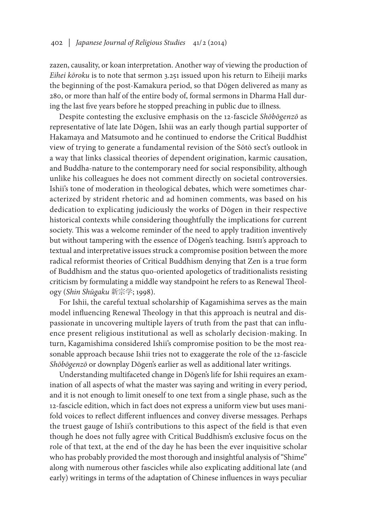zazen, causality, or koan interpretation. Another way of viewing the production of *Eihei kōroku* is to note that sermon 3.251 issued upon his return to Eiheiji marks the beginning of the post-Kamakura period, so that Dōgen delivered as many as 280, or more than half of the entire body of, formal sermons in Dharma Hall during the last five years before he stopped preaching in public due to illness.

Despite contesting the exclusive emphasis on the 12-fascicle *Shōbōgenzō* as representative of late late Dōgen, Ishii was an early though partial supporter of Hakamaya and Matsumoto and he continued to endorse the Critical Buddhist view of trying to generate a fundamental revision of the Sōtō sect's outlook in a way that links classical theories of dependent origination, karmic causation, and Buddha-nature to the contemporary need for social responsibility, although unlike his colleagues he does not comment directly on societal controversies. Ishii's tone of moderation in theological debates, which were sometimes characterized by strident rhetoric and ad hominen comments, was based on his dedication to explicating judiciously the works of Dōgen in their respective historical contexts while considering thoughtfully the implications for current society. This was a welcome reminder of the need to apply tradition inventively but without tampering with the essence of Dōgen's teaching. Ishii's approach to textual and interpretative issues struck a compromise position between the more radical reformist theories of Critical Buddhism denying that Zen is a true form of Buddhism and the status quo-oriented apologetics of traditionalists resisting criticism by formulating a middle way standpoint he refers to as Renewal Theology (*Shin Shūgaku* 新宗学; 1998).

For Ishii, the careful textual scholarship of Kagamishima serves as the main model influencing Renewal Theology in that this approach is neutral and dispassionate in uncovering multiple layers of truth from the past that can influence present religious institutional as well as scholarly decision-making. In turn, Kagamishima considered Ishii's compromise position to be the most reasonable approach because Ishii tries not to exaggerate the role of the 12-fascicle *Shōbōgenzō* or downplay Dōgen's earlier as well as additional later writings.

Understanding multifaceted change in Dōgen's life for Ishii requires an examination of all aspects of what the master was saying and writing in every period, and it is not enough to limit oneself to one text from a single phase, such as the 12-fascicle edition, which in fact does not express a uniform view but uses manifold voices to reflect different influences and convey diverse messages. Perhaps the truest gauge of Ishii's contributions to this aspect of the field is that even though he does not fully agree with Critical Buddhism's exclusive focus on the role of that text, at the end of the day he has been the ever inquisitive scholar who has probably provided the most thorough and insightful analysis of "Shime" along with numerous other fascicles while also explicating additional late (and early) writings in terms of the adaptation of Chinese influences in ways peculiar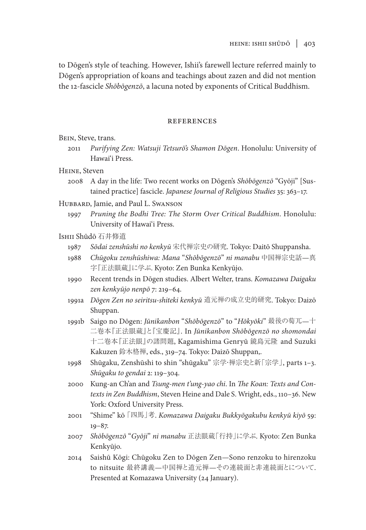to Dōgen's style of teaching. However, Ishii's farewell lecture referred mainly to Dōgen's appropriation of koans and teachings about zazen and did not mention the 12-fascicle *Shōbōgenzō*, a lacuna noted by exponents of Critical Buddhism.

## references

Bein, Steve, trans.

2011 *Purifying Zen: Watsuji Tetsurō's Shamon Dōgen*. Honolulu: University of Hawai'i Press.

Heine, Steven

2008 A day in the life: Two recent works on Dōgen's *Shōbōgenzō* "Gyōji" [Sustained practice] fascicle. *Japanese Journal of Religious Studies* 35: 363–17.

Hubbard, Jamie, and Paul L. Swanson

1997 *Pruning the Bodhi Tree: The Storm Over Critical Buddhism*. Honolulu: University of Hawai'i Press.

Ishii Shūdō 石井修道

- 1987 *Sōdai zenshūshi no kenkyū* 宋代禅宗史の研究. Tokyo: Daitō Shuppansha.
- 1988 *Chūgoku zenshūshiwa: Mana* "*Shōbōgenzō*" *ni manabu* 中国禅宗史話—真 字『正法眼蔵』に学ぶ. Kyoto: Zen Bunka Kenkyūjo.
- 1990 Recent trends in Dōgen studies. Albert Welter, trans. *Komazawa Daigaku zen kenkyūjo nenpō* 7: 219–64.
- 1991a *Dōgen Zen no seiritsu-shiteki kenkyū* 道元禅の成立史的研究. Tokyo: Daizō Shuppan.
- 1991b Saigo no Dōgen: *Jūnikanbon* "*Shōbōgenzō*" to "*Hōkyōki*" 最後の萄兀—十 二卷本『正法眼蔵』と『宝慶記』. In *Jūnikanbon Shōbōgenzō no shomondai* 十二卷本『正法眼』の諸問題, Kagamishima Genryū 鏡島元隆 and Suzuki Kakuzen 鈴木格禅, eds., 319–74. Tokyo: Daizō Shuppan,.
- 1998 Shūgaku, Zenshūshi to shin "shūgaku" 宗学・禅宗史と新「宗学」, parts 1–3. *Shūgaku to gendai* 2: 119–304.
- 2000 Kung-an Ch'an and *Tsung-men t'ung-yao chi*. In *The Koan: Texts and Contexts in Zen Buddhism*, Steven Heine and Dale S. Wright, eds., 110–36. New York: Oxford University Press.
- 2001 "Shime" kō 「四馬」考. *Komazawa Daigaku Bukkyōgakubu kenkyū kiyō* 59:  $19 - 87.$
- 2007 *Shōbōgenzō* "*Gyōji*" *ni manabu* 正法眼蔵「行持」に学ぶ. Kyoto: Zen Bunka Kenkyūjo.
- 2014 Saishū Kōgi: Chūgoku Zen to Dōgen Zen—Sono renzoku to hirenzoku to nitsuite 最終講義—中国禅と道元禅—その連続面と非連続面とについて. Presented at Komazawa University (24 January).